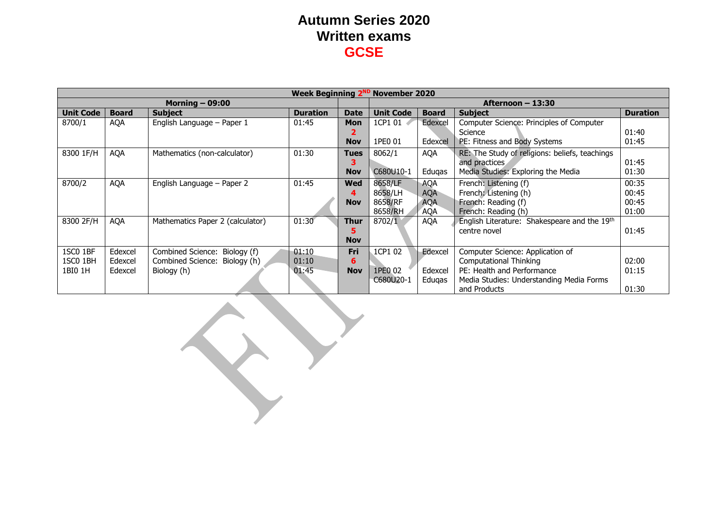|                  | <b>Week Beginning 2<sup>ND</sup> November 2020</b> |                                  |                 |             |                    |              |                                                |                 |  |
|------------------|----------------------------------------------------|----------------------------------|-----------------|-------------|--------------------|--------------|------------------------------------------------|-----------------|--|
|                  |                                                    | Morning $-$ 09:00                |                 |             | Afternoon $-13:30$ |              |                                                |                 |  |
| <b>Unit Code</b> | <b>Board</b>                                       | <b>Subject</b>                   | <b>Duration</b> | <b>Date</b> | <b>Unit Code</b>   | <b>Board</b> | <b>Subject</b>                                 | <b>Duration</b> |  |
| 8700/1           | AQA                                                | English Language – Paper 1       | 01:45           | <b>Mon</b>  | 1CP1 01            | Edexcel      | Computer Science: Principles of Computer       |                 |  |
|                  |                                                    |                                  |                 |             |                    |              | Science                                        | 01:40           |  |
|                  |                                                    |                                  |                 | <b>Nov</b>  | 1PE0 01            | Edexcel      | PE: Fitness and Body Systems                   | 01:45           |  |
| 8300 1F/H        | AQA                                                | Mathematics (non-calculator)     | 01:30           | <b>Tues</b> | 8062/1             | <b>AQA</b>   | RE: The Study of religions: beliefs, teachings |                 |  |
|                  |                                                    |                                  |                 |             |                    |              | and practices                                  | 01:45           |  |
|                  |                                                    |                                  |                 | <b>Nov</b>  | C680U10-1          | Edugas       | Media Studies: Exploring the Media             | 01:30           |  |
| 8700/2           | <b>AQA</b>                                         | English Language – Paper 2       | 01:45           | <b>Wed</b>  | 8658/LF            | <b>AQA</b>   | French: Listening (f)                          | 00:35           |  |
|                  |                                                    |                                  |                 |             | 8658/LH            | <b>AQA</b>   | French: Listening (h)                          | 00:45           |  |
|                  |                                                    |                                  |                 | <b>Nov</b>  | 8658/RF            | <b>AQA</b>   | French: Reading (f)                            | 00:45           |  |
|                  |                                                    |                                  |                 |             | 8658/RH            | <b>AQA</b>   | French: Reading (h)                            | 01:00           |  |
| 8300 2F/H        | <b>AQA</b>                                         | Mathematics Paper 2 (calculator) | 01:30           | Thur        | 8702/1             | <b>AQA</b>   | English Literature: Shakespeare and the 19th   |                 |  |
|                  |                                                    |                                  |                 |             |                    |              | centre novel                                   | 01:45           |  |
|                  |                                                    |                                  |                 | <b>Nov</b>  |                    |              |                                                |                 |  |
| 1SC0 1BF         | Edexcel                                            | Combined Science: Biology (f)    | 01:10           | Fri         | 1CP1 02            | Edexcel      | Computer Science: Application of               |                 |  |
| 1SC0 1BH         | Edexcel                                            | Combined Science: Biology (h)    | 01:10           | 6           |                    |              | <b>Computational Thinking</b>                  | 02:00           |  |
| 1BI0 1H          | Edexcel                                            | Biology (h)                      | 01:45           | <b>Nov</b>  | 1PE0 02            | Edexcel      | PE: Health and Performance                     | 01:15           |  |
|                  |                                                    |                                  |                 |             | C680U20-1          | Edugas       | Media Studies: Understanding Media Forms       |                 |  |
|                  |                                                    |                                  |                 |             |                    |              | and Products                                   | 01:30           |  |

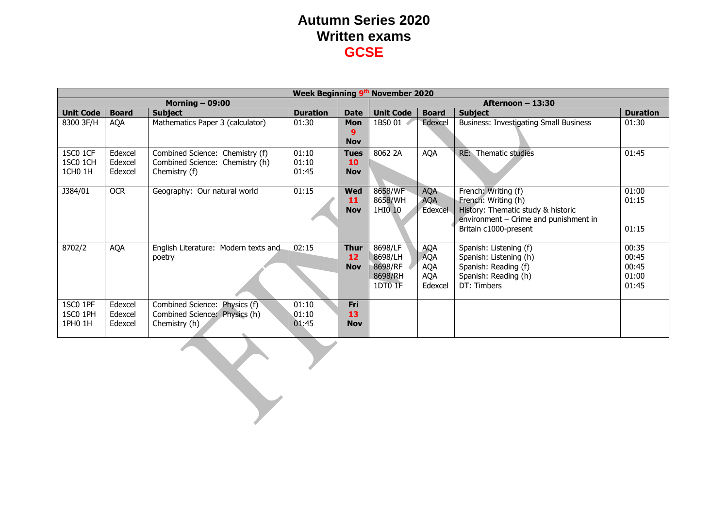|                                             | Week Beginning 9th November 2020 |                                                                                           |                         |                                 |                                                     |                                                                 |                                                                                                                                                    |                                           |  |  |
|---------------------------------------------|----------------------------------|-------------------------------------------------------------------------------------------|-------------------------|---------------------------------|-----------------------------------------------------|-----------------------------------------------------------------|----------------------------------------------------------------------------------------------------------------------------------------------------|-------------------------------------------|--|--|
|                                             |                                  | Morning $-$ 09:00                                                                         |                         |                                 |                                                     | Afternoon - 13:30                                               |                                                                                                                                                    |                                           |  |  |
| <b>Unit Code</b>                            | <b>Board</b>                     | <b>Subject</b>                                                                            | <b>Duration</b>         | <b>Date</b>                     | <b>Unit Code</b>                                    | <b>Duration</b><br><b>Board</b><br><b>Subject</b>               |                                                                                                                                                    |                                           |  |  |
| 8300 3F/H                                   | <b>AQA</b>                       | Mathematics Paper 3 (calculator)                                                          | 01:30                   | Mon<br>g<br><b>Nov</b>          | 1BS0 01                                             | Edexcel                                                         | <b>Business: Investigating Small Business</b>                                                                                                      | 01:30                                     |  |  |
| 1SC0 1CF<br>1SC0 1CH<br>1CH <sub>0</sub> 1H | Edexcel<br>Edexcel<br>Edexcel    | Combined Science: Chemistry (f)<br>Combined Science: Chemistry (h)<br>Chemistry (f)       | 01:10<br>01:10<br>01:45 | <b>Tues</b><br>10<br><b>Nov</b> | 8062 2A                                             | <b>AQA</b>                                                      | <b>RE:</b> Thematic studies                                                                                                                        | 01:45                                     |  |  |
| J384/01                                     | <b>OCR</b>                       | Geography: Our natural world                                                              | 01:15                   | Wed<br>11<br><b>Nov</b>         | 8658/WF<br>8658/WH<br>1HI0 10                       | <b>AQA</b><br><b>AQA</b><br>Edexcel                             | French: Writing (f)<br>French: Writing (h)<br>History: Thematic study & historic<br>environment - Crime and punishment in<br>Britain c1000-present | 01:00<br>01:15<br>01:15                   |  |  |
| 8702/2                                      | <b>AQA</b>                       | English Literature: Modern texts and<br>poetry                                            | 02:15                   | <b>Thur</b><br>12<br><b>Nov</b> | 8698/LF<br>8698/LH<br>8698/RF<br>8698/RH<br>1DT0 1F | <b>AQA</b><br><b>AQA</b><br><b>AQA</b><br><b>AQA</b><br>Edexcel | Spanish: Listening (f)<br>Spanish: Listening (h)<br>Spanish: Reading (f)<br>Spanish: Reading (h)<br>DT: Timbers                                    | 00:35<br>00:45<br>00:45<br>01:00<br>01:45 |  |  |
| 1SC0 1PF<br>1SC0 1PH<br>1PH0 1H             | Edexcel<br>Edexcel<br>Edexcel    | Combined Science: Physics (f)<br>Combined Science: Physics (h)<br>Chemistry (h)<br>$\sim$ | 01:10<br>01:10<br>01:45 | Fri<br>13<br><b>Nov</b>         |                                                     |                                                                 |                                                                                                                                                    |                                           |  |  |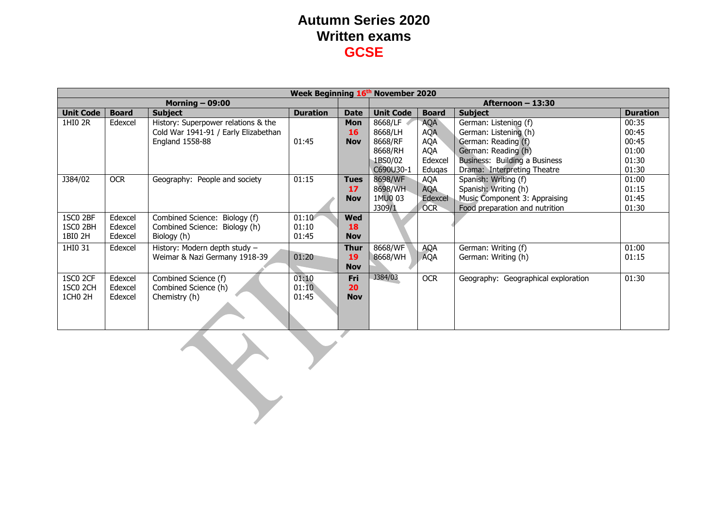|                     | Week Beginning 16th November 2020 |                                      |                 |             |                   |                  |                                     |                 |  |  |
|---------------------|-----------------------------------|--------------------------------------|-----------------|-------------|-------------------|------------------|-------------------------------------|-----------------|--|--|
|                     |                                   | Morning $-$ 09:00                    |                 |             | Afternoon - 13:30 |                  |                                     |                 |  |  |
| <b>Unit Code</b>    | <b>Board</b>                      | <b>Subject</b>                       | <b>Duration</b> | <b>Date</b> | <b>Unit Code</b>  | <b>Board</b>     | <b>Subject</b>                      | <b>Duration</b> |  |  |
| 1HI0 2R             | Edexcel                           | History: Superpower relations & the  |                 | <b>Mon</b>  | 8668/LF           | <b>AQA</b>       | German: Listening (f)               | 00:35           |  |  |
|                     |                                   | Cold War 1941-91 / Early Elizabethan |                 | <b>16</b>   | 8668/LH           | <b>AQA</b>       | German: Listening (h)               | 00:45           |  |  |
|                     |                                   | England 1558-88                      | 01:45           | <b>Nov</b>  | 8668/RF           | AQA              | German: Reading (f)                 | 00:45           |  |  |
|                     |                                   |                                      |                 |             | 8668/RH           | AQA              | German: Reading (h)                 | 01:00           |  |  |
|                     |                                   |                                      |                 |             | 1BS0/02           | Edexcel          | Business: Building a Business       | 01:30           |  |  |
|                     |                                   |                                      |                 |             | C690U30-1         | Eduqas           | Drama: Interpreting Theatre         | 01:30           |  |  |
| J384/02             | <b>OCR</b>                        | Geography: People and society        | 01:15           | <b>Tues</b> | 8698/WF           | <b>AQA</b>       | Spanish: Writing (f)                | 01:00           |  |  |
|                     |                                   |                                      |                 | 17          | 8698/WH           | <b>AQA</b>       | Spanish: Writing (h)                | 01:15           |  |  |
|                     |                                   |                                      |                 | <b>Nov</b>  | 1MU0 03           | Edexcel          | Music Component 3: Appraising       | 01:45           |  |  |
|                     |                                   |                                      |                 |             | J309/1            | OCR <sup>-</sup> | Food preparation and nutrition      | 01:30           |  |  |
| 1SC0 2BF            | Edexcel                           | Combined Science: Biology (f)        | 01:10           | <b>Wed</b>  |                   |                  |                                     |                 |  |  |
| 1SC0 2BH            | Edexcel                           | Combined Science: Biology (h)        | 01:10           | 18          |                   |                  |                                     |                 |  |  |
| 1BI0 2H             | Edexcel                           | Biology (h)                          | 01:45           | <b>Nov</b>  |                   |                  |                                     |                 |  |  |
| 1HI0 31             | Edexcel                           | History: Modern depth study -        |                 | <b>Thur</b> | 8668/WF           | <b>AQA</b>       | German: Writing (f)                 | 01:00           |  |  |
|                     |                                   | Weimar & Nazi Germany 1918-39        | 01:20           | 19          | 8668/WH           | <b>AQA</b>       | German: Writing (h)                 | 01:15           |  |  |
|                     |                                   |                                      |                 | <b>Nov</b>  |                   |                  |                                     |                 |  |  |
| 1SC0 2CF            | Edexcel                           | Combined Science (f)                 | 01:10           | Fri         | J384/03           | <b>OCR</b>       | Geography: Geographical exploration | 01:30           |  |  |
| 1SC0 2CH            | Edexcel                           | Combined Science (h)                 | 01:10           | 20          |                   |                  |                                     |                 |  |  |
| 1CH <sub>0</sub> 2H | Edexcel                           | Chemistry (h)                        | 01:45           | <b>Nov</b>  |                   |                  |                                     |                 |  |  |
|                     |                                   |                                      |                 |             |                   |                  |                                     |                 |  |  |
|                     |                                   |                                      |                 |             |                   |                  |                                     |                 |  |  |
|                     |                                   |                                      |                 |             |                   |                  |                                     |                 |  |  |
|                     |                                   |                                      |                 |             |                   |                  |                                     |                 |  |  |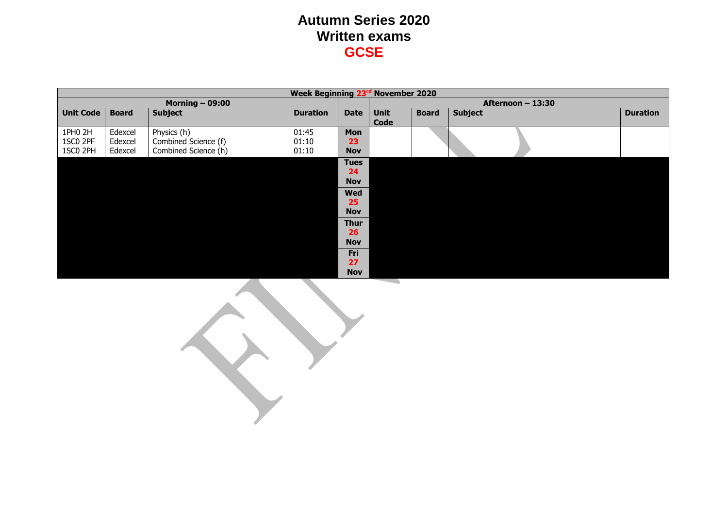|                   | Week Beginning 23rd November 2020 |                      |                 |                                                                   |                            |                   |                |                 |  |  |
|-------------------|-----------------------------------|----------------------|-----------------|-------------------------------------------------------------------|----------------------------|-------------------|----------------|-----------------|--|--|
| Morning $-$ 09:00 |                                   |                      |                 |                                                                   |                            | Afternoon - 13:30 |                |                 |  |  |
| <b>Unit Code</b>  | <b>Board</b>                      | <b>Subject</b>       | <b>Duration</b> | <b>Date</b>                                                       | <b>Unit</b><br><b>Code</b> | <b>Board</b>      | <b>Subject</b> | <b>Duration</b> |  |  |
| 1PH0 2H           | Edexcel                           | Physics (h)          | 01:45           | Mon                                                               |                            |                   |                |                 |  |  |
| 1SC0 2PF          | Edexcel                           | Combined Science (f) | 01:10           | 23                                                                |                            |                   |                |                 |  |  |
| 1SC0 2PH          | Edexcel                           | Combined Science (h) | 01:10           | <b>Nov</b>                                                        |                            |                   |                |                 |  |  |
|                   |                                   |                      |                 | <b>Tues</b><br>24<br><b>Nov</b><br><b>Wed</b><br>25<br><b>Nov</b> |                            |                   |                |                 |  |  |
|                   |                                   |                      |                 | <b>Thur</b><br>26<br><b>Nov</b>                                   |                            |                   |                |                 |  |  |
|                   |                                   |                      |                 | Fri<br>27<br><b>Nov</b>                                           |                            |                   |                |                 |  |  |

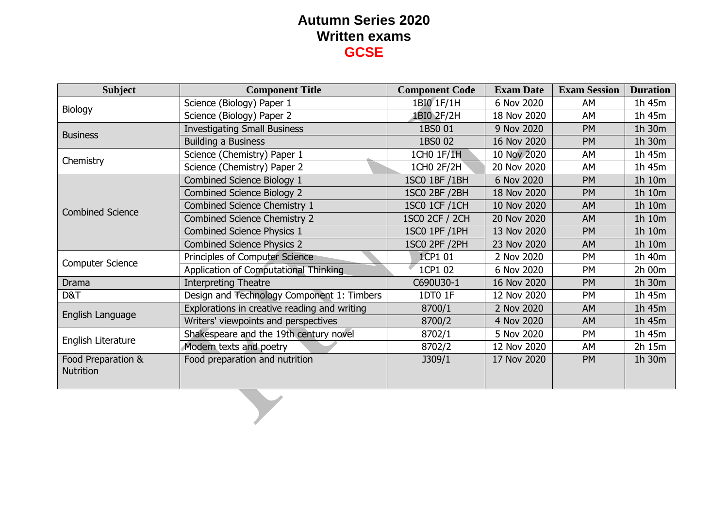| <b>Subject</b>                         | <b>Component Title</b>                       | <b>Component Code</b> | <b>Exam Date</b>                                                                                                                                         | <b>Exam Session</b> | <b>Duration</b> |  |  |
|----------------------------------------|----------------------------------------------|-----------------------|----------------------------------------------------------------------------------------------------------------------------------------------------------|---------------------|-----------------|--|--|
| Biology                                | Science (Biology) Paper 1                    | 1BI0 1F/1H            | 6 Nov 2020                                                                                                                                               | AM                  | 1h 45m          |  |  |
|                                        | Science (Biology) Paper 2                    | 1BI0 2F/2H            | 18 Nov 2020                                                                                                                                              | AM                  | 1h 45m          |  |  |
| <b>Business</b>                        | <b>Investigating Small Business</b>          | 1BS0 01               | 9 Nov 2020                                                                                                                                               | <b>PM</b>           | 1h 30m          |  |  |
|                                        | <b>Building a Business</b>                   | 1BS0 02               | 16 Nov 2020                                                                                                                                              | PM                  | 1h 30m          |  |  |
| Chemistry                              | Science (Chemistry) Paper 1                  | 1CH0 1F/1H            | 10 Nov 2020                                                                                                                                              | AM                  | 1h 45m          |  |  |
|                                        | Science (Chemistry) Paper 2                  | 1CH0 2F/2H            | 20 Nov 2020                                                                                                                                              | AM                  | 1h 45m          |  |  |
|                                        | Combined Science Biology 1                   | 1SC0 1BF / 1BH        | 6 Nov 2020                                                                                                                                               | PM                  | 1h 10m          |  |  |
|                                        | <b>Combined Science Biology 2</b>            | 1SC0 2BF /2BH         | 18 Nov 2020                                                                                                                                              | <b>PM</b>           | 1h 10m          |  |  |
| <b>Combined Science</b>                | Combined Science Chemistry 1                 | 1SC0 1CF /1CH         | 10 Nov 2020                                                                                                                                              | <b>AM</b>           | 1h 10m          |  |  |
|                                        | <b>Combined Science Chemistry 2</b>          | <b>1SC0 2CF / 2CH</b> | 20 Nov 2020                                                                                                                                              | <b>AM</b>           | 1h 10m          |  |  |
|                                        | <b>Combined Science Physics 1</b>            | 1SC0 1PF / 1PH        | 13 Nov 2020                                                                                                                                              | <b>PM</b>           | 1h 10m          |  |  |
|                                        | <b>Combined Science Physics 2</b>            | <b>1SC0 2PF / 2PH</b> | 23 Nov 2020<br>AM<br>1CP1 01<br>2 Nov 2020<br><b>PM</b><br>1CP1 02<br>6 Nov 2020<br>PM<br>C690U30-1<br>16 Nov 2020<br>PM<br>1DT0 1F<br>12 Nov 2020<br>PM | 1h 10m              |                 |  |  |
| <b>Computer Science</b>                | Principles of Computer Science               |                       |                                                                                                                                                          |                     | 1h 40m          |  |  |
|                                        | Application of Computational Thinking        |                       |                                                                                                                                                          |                     | 2h 00m          |  |  |
| <b>Drama</b>                           | <b>Interpreting Theatre</b>                  |                       |                                                                                                                                                          |                     | 1h 30m          |  |  |
| D&T                                    | Design and Technology Component 1: Timbers   |                       |                                                                                                                                                          |                     | 1h 45m          |  |  |
| English Language                       | Explorations in creative reading and writing | 8700/1                | 2 Nov 2020                                                                                                                                               | AM                  | 1h 45m          |  |  |
|                                        | Writers' viewpoints and perspectives         | 8700/2                | 4 Nov 2020                                                                                                                                               | <b>AM</b>           | 1h 45m          |  |  |
| English Literature                     | Shakespeare and the 19th century novel       | 8702/1                | 5 Nov 2020                                                                                                                                               | <b>PM</b>           | 1h 45m          |  |  |
|                                        | Modern texts and poetry                      | 8702/2                | 12 Nov 2020                                                                                                                                              | AM                  | 2h 15m          |  |  |
| Food Preparation &<br><b>Nutrition</b> | Food preparation and nutrition               | J309/1                | 17 Nov 2020                                                                                                                                              | <b>PM</b>           | 1h 30m          |  |  |
|                                        |                                              |                       |                                                                                                                                                          |                     |                 |  |  |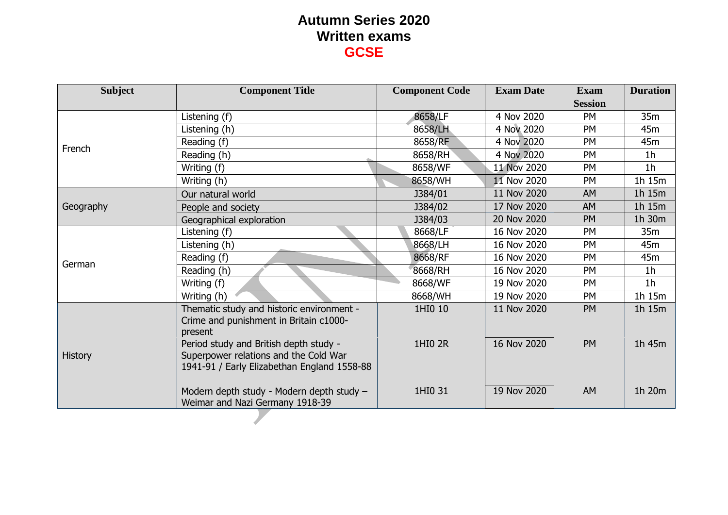| <b>Subject</b> | <b>Component Title</b>                                                                                                         | <b>Component Code</b> | <b>Exam Date</b> | <b>Exam</b>    | <b>Duration</b> |
|----------------|--------------------------------------------------------------------------------------------------------------------------------|-----------------------|------------------|----------------|-----------------|
|                |                                                                                                                                |                       |                  | <b>Session</b> |                 |
|                | Listening (f)                                                                                                                  | 8658/LF               | 4 Nov 2020       | PM             | 35m             |
|                | Listening (h)                                                                                                                  | 8658/LH               | 4 Nov 2020       | <b>PM</b>      | 45m             |
| French         | Reading (f)                                                                                                                    | 8658/RF               | 4 Nov 2020       | PM             | 45m             |
|                | Reading (h)                                                                                                                    | 8658/RH               | 4 Nov 2020       | <b>PM</b>      | 1 <sub>h</sub>  |
|                | Writing (f)                                                                                                                    | 8658/WF               | 11 Nov 2020      | <b>PM</b>      | 1 <sub>h</sub>  |
|                | Writing (h)                                                                                                                    | 8658/WH               | 11 Nov 2020      | PM             | 1h 15m          |
|                | Our natural world                                                                                                              | J384/01               | 11 Nov 2020      | <b>AM</b>      | 1h 15m          |
| Geography      | People and society                                                                                                             | J384/02               | 17 Nov 2020      | <b>AM</b>      | 1h 15m          |
|                | Geographical exploration                                                                                                       | J384/03               | 20 Nov 2020      | <b>PM</b>      | 1h 30m          |
|                | Listening (f)                                                                                                                  | 8668/LF               | 16 Nov 2020      | PM             | 35m             |
|                | Listening (h)                                                                                                                  | 8668/LH               | 16 Nov 2020      | <b>PM</b>      | 45m             |
| German         | Reading (f)                                                                                                                    | 8668/RF               | 16 Nov 2020      | <b>PM</b>      | 45m             |
|                | Reading (h)                                                                                                                    | 8668/RH               | 16 Nov 2020      | <b>PM</b>      | 1 <sub>h</sub>  |
|                | Writing (f)                                                                                                                    | 8668/WF               | 19 Nov 2020      | <b>PM</b>      | 1 <sub>h</sub>  |
|                | Writing (h)                                                                                                                    | 8668/WH               | 19 Nov 2020      | PM             | 1h 15m          |
|                | Thematic study and historic environment -<br>Crime and punishment in Britain c1000-<br>present                                 | 1HI0 10               | 11 Nov 2020      | <b>PM</b>      | 1h 15m          |
| <b>History</b> | Period study and British depth study -<br>Superpower relations and the Cold War<br>1941-91 / Early Elizabethan England 1558-88 | 1HI0 2R               | 16 Nov 2020      | <b>PM</b>      | 1h 45m          |
|                | Modern depth study - Modern depth study -<br>Weimar and Nazi Germany 1918-39                                                   | 1HI0 31               | 19 Nov 2020      | <b>AM</b>      | 1h 20m          |
|                |                                                                                                                                |                       |                  |                |                 |